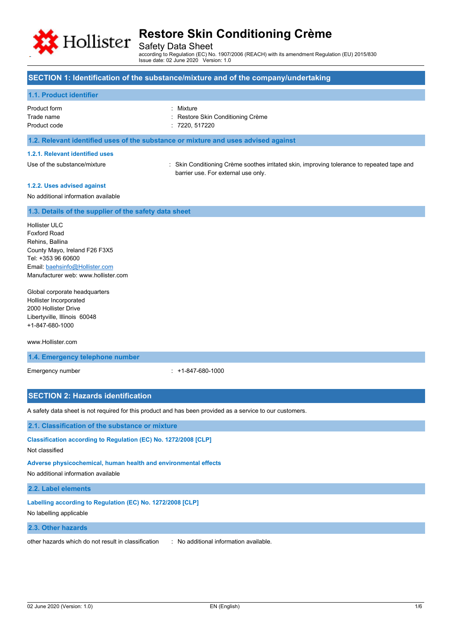

Safety Data Sheet

according to Regulation (EC) No. 1907/2006 (REACH) with its amendment Regulation (EU) 2015/830 Issue date: 02 June 2020 Version: 1.0

## **SECTION 1: Identification of the substance/mixture and of the company/undertaking**

## **1.1. Product identifier**

| Product form | : Mixture                         |
|--------------|-----------------------------------|
| Trade name   | : Restore Skin Conditioning Crème |
| Product code | : 7220, 517220                    |
|              |                                   |

### **1.2. Relevant identified uses of the substance or mixture and uses advised against**

#### **1.2.1. Relevant identified uses**

Use of the substance/mixture : Skin Conditioning Crème soothes irritated skin, improving tolerance to repeated tape and barrier use. For external use only.

## **1.2.2. Uses advised against**

No additional information available

## **1.3. Details of the supplier of the safety data sheet**

Hollister ULC Foxford Road Rehins, Ballina County Mayo, Ireland F26 F3X5 Tel: +353 96 60600 Email[: baehsinfo@Hollister.com](mailto:baehsinfo@Hollister.com) Manufacturer web: www.hollister.com

Global corporate headquarters Hollister Incorporated 2000 Hollister Drive Libertyville, Illinois 60048 +1-847-680-1000

### www.Hollister.com

**1.4. Emergency telephone number**

Emergency number : +1-847-680-1000

## **SECTION 2: Hazards identification**

A safety data sheet is not required for this product and has been provided as a service to our customers.

### **2.1. Classification of the substance or mixture**

**Classification according to Regulation (EC) No. 1272/2008 [CLP]** Not classified

## **Adverse physicochemical, human health and environmental effects**

No additional information available

#### **2.2. Label elements**

**Labelling according to Regulation (EC) No. 1272/2008 [CLP]**

No labelling applicable

## **2.3. Other hazards**

other hazards which do not result in classification : No additional information available.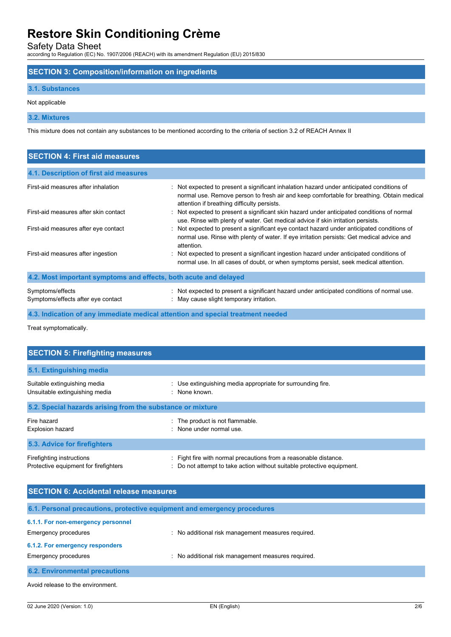Safety Data Sheet according to Regulation (EC) No. 1907/2006 (REACH) with its amendment Regulation (EU) 2015/830

## **SECTION 3: Composition/information on ingredients**

## **3.1. Substances**

## Not applicable

**3.2. Mixtures**

This mixture does not contain any substances to be mentioned according to the criteria of section 3.2 of REACH Annex II

| <b>SECTION 4: First aid measures</b>                             |                                                                                                                                                                                                                                       |
|------------------------------------------------------------------|---------------------------------------------------------------------------------------------------------------------------------------------------------------------------------------------------------------------------------------|
| 4.1. Description of first aid measures                           |                                                                                                                                                                                                                                       |
| First-aid measures after inhalation                              | : Not expected to present a significant inhalation hazard under anticipated conditions of<br>normal use. Remove person to fresh air and keep comfortable for breathing. Obtain medical<br>attention if breathing difficulty persists. |
| First-aid measures after skin contact                            | : Not expected to present a significant skin hazard under anticipated conditions of normal<br>use. Rinse with plenty of water. Get medical advice if skin irritation persists.                                                        |
| First-aid measures after eye contact                             | : Not expected to present a significant eye contact hazard under anticipated conditions of<br>normal use. Rinse with plenty of water. If eye irritation persists: Get medical advice and<br>attention.                                |
| First-aid measures after ingestion                               | : Not expected to present a significant ingestion hazard under anticipated conditions of<br>normal use. In all cases of doubt, or when symptoms persist, seek medical attention.                                                      |
| 4.2. Most important symptoms and effects, both acute and delayed |                                                                                                                                                                                                                                       |
| Symptoms/effects<br>Symptoms/effects after eye contact           | : Not expected to present a significant hazard under anticipated conditions of normal use.<br>: May cause slight temporary irritation.                                                                                                |
|                                                                  | 4.3. Indication of any immediate medical attention and special treatment needed                                                                                                                                                       |

Treat symptomatically.

| <b>SECTION 5: Firefighting measures</b>                            |                                                                                                                                          |  |  |
|--------------------------------------------------------------------|------------------------------------------------------------------------------------------------------------------------------------------|--|--|
| 5.1. Extinguishing media                                           |                                                                                                                                          |  |  |
| Suitable extinguishing media<br>Unsuitable extinguishing media     | : Use extinguishing media appropriate for surrounding fire.<br>: None known.                                                             |  |  |
| 5.2. Special hazards arising from the substance or mixture         |                                                                                                                                          |  |  |
| Fire hazard<br><b>Explosion hazard</b>                             | : The product is not flammable.<br>None under normal use.<br>۰.                                                                          |  |  |
| 5.3. Advice for firefighters                                       |                                                                                                                                          |  |  |
| Firefighting instructions<br>Protective equipment for firefighters | : Fight fire with normal precautions from a reasonable distance.<br>Do not attempt to take action without suitable protective equipment. |  |  |

| <b>SECTION 6: Accidental release measures</b> |                                                                          |  |
|-----------------------------------------------|--------------------------------------------------------------------------|--|
|                                               | 6.1. Personal precautions, protective equipment and emergency procedures |  |
| 6.1.1. For non-emergency personnel            |                                                                          |  |
| Emergency procedures                          | : No additional risk management measures required.                       |  |
| 6.1.2. For emergency responders               |                                                                          |  |
| Emergency procedures                          | : No additional risk management measures required.                       |  |
| <b>6.2. Environmental precautions</b>         |                                                                          |  |
| Avoid release to the environment.             |                                                                          |  |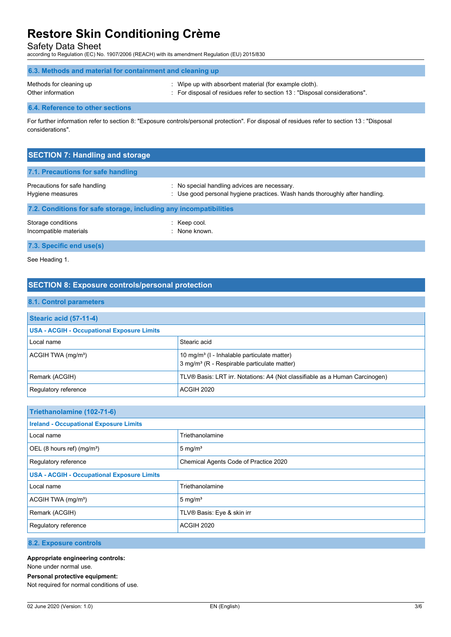Safety Data Sheet according to Regulation (EC) No. 1907/2006 (REACH) with its amendment Regulation (EU) 2015/830

| 6.3. Methods and material for containment and cleaning up |                                                                             |  |
|-----------------------------------------------------------|-----------------------------------------------------------------------------|--|
| Methods for cleaning up                                   | : Wipe up with absorbent material (for example cloth).                      |  |
| Other information                                         | . For disposal of residues refer to section 13 : "Disposal considerations". |  |

## **6.4. Reference to other sections**

For further information refer to section 8: "Exposure controls/personal protection". For disposal of residues refer to section 13 : "Disposal considerations".

| <b>SECTION 7: Handling and storage</b>                            |                                                                                                                              |
|-------------------------------------------------------------------|------------------------------------------------------------------------------------------------------------------------------|
| 7.1. Precautions for safe handling                                |                                                                                                                              |
| Precautions for safe handling<br>Hygiene measures                 | : No special handling advices are necessary.<br>: Use good personal hygiene practices. Wash hands thoroughly after handling. |
| 7.2. Conditions for safe storage, including any incompatibilities |                                                                                                                              |
| Storage conditions<br>Incompatible materials                      | $:$ Keep cool.<br>· None known                                                                                               |

**7.3. Specific end use(s)**

See Heading 1.

## **SECTION 8: Exposure controls/personal protection**

## **8.1. Control parameters**

| Stearic acid (57-11-4)                            |                                                                                                                    |
|---------------------------------------------------|--------------------------------------------------------------------------------------------------------------------|
| <b>USA - ACGIH - Occupational Exposure Limits</b> |                                                                                                                    |
| Local name                                        | Stearic acid                                                                                                       |
| $ACGIH TWA$ (mg/m <sup>3</sup> )                  | 10 mg/m <sup>3</sup> (I - Inhalable particulate matter)<br>3 mg/m <sup>3</sup> (R - Respirable particulate matter) |
| Remark (ACGIH)                                    | TLV® Basis: LRT irr. Notations: A4 (Not classifiable as a Human Carcinogen)                                        |
| Regulatory reference                              | ACGIH 2020                                                                                                         |

| Triethanolamine (102-71-6)                        |                                       |  |
|---------------------------------------------------|---------------------------------------|--|
| <b>Ireland - Occupational Exposure Limits</b>     |                                       |  |
| Local name                                        | Triethanolamine                       |  |
| OEL (8 hours ref) (mg/m <sup>3</sup> )            | 5 mg/m <sup>3</sup>                   |  |
| Regulatory reference                              | Chemical Agents Code of Practice 2020 |  |
| <b>USA - ACGIH - Occupational Exposure Limits</b> |                                       |  |
| Local name                                        | Triethanolamine                       |  |
| ACGIH TWA (mg/m <sup>3</sup> )                    | 5 mg/ $m3$                            |  |
| Remark (ACGIH)                                    | TLV® Basis: Eye & skin irr            |  |
| Regulatory reference                              | ACGIH 2020                            |  |

## **8.2. Exposure controls**

### **Appropriate engineering controls:**

None under normal use.

**Personal protective equipment:**

Not required for normal conditions of use.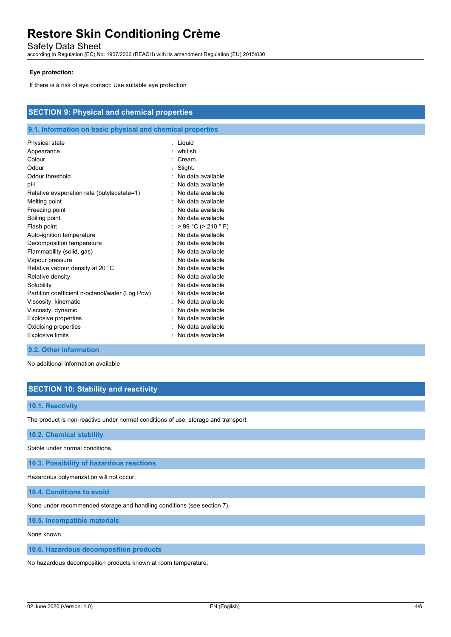Safety Data Sheet

according to Regulation (EC) No. 1907/2006 (REACH) with its amendment Regulation (EU) 2015/830

## **Eye protection:**

If there is a risk of eye contact: Use suitable eye protection

| <b>SECTION 9: Physical and chemical properties</b>                                                                                                                                                                                                                                                  |                                                                                                                                                                                                                                                                                                   |  |
|-----------------------------------------------------------------------------------------------------------------------------------------------------------------------------------------------------------------------------------------------------------------------------------------------------|---------------------------------------------------------------------------------------------------------------------------------------------------------------------------------------------------------------------------------------------------------------------------------------------------|--|
| 9.1. Information on basic physical and chemical properties                                                                                                                                                                                                                                          |                                                                                                                                                                                                                                                                                                   |  |
| Physical state<br>Appearance<br>Colour<br>Odour<br>Odour threshold<br>pH<br>Relative evaporation rate (butylacetate=1)<br>Melting point<br>Freezing point<br>Boiling point<br>Flash point<br>Auto-ignition temperature<br>Decomposition temperature<br>Flammability (solid, gas)<br>Vapour pressure | Liquid<br>whitish.<br>Cream.<br>Slight.<br>No data available<br>No data available<br>No data available<br>No data available<br>No data available<br>No data available<br>۰.<br>$> 99 °C$ ( $> 210 °F$ )<br>No data available<br>۰.<br>No data available<br>No data available<br>No data available |  |
| Relative vapour density at 20 °C<br>Relative density<br>Solubility<br>Partition coefficient n-octanol/water (Log Pow)<br>Viscosity, kinematic<br>Viscosity, dynamic<br><b>Explosive properties</b><br>Oxidising properties<br><b>Explosive limits</b>                                               | No data available<br>No data available<br>No data available<br>No data available<br>No data available<br>No data available<br>No data available<br>No data available<br>No data available                                                                                                         |  |

#### **9.2. Other information**

No additional information available

# **SECTION 10: Stability and reactivity**

## **10.1. Reactivity**

The product is non-reactive under normal conditions of use, storage and transport.

**10.2. Chemical stability**

Stable under normal conditions.

**10.3. Possibility of hazardous reactions**

Hazardous polymerization will not occur.

**10.4. Conditions to avoid**

None under recommended storage and handling conditions (see section 7).

**10.5. Incompatible materials**

None known.

**10.6. Hazardous decomposition products**

No hazardous decomposition products known at room temperature.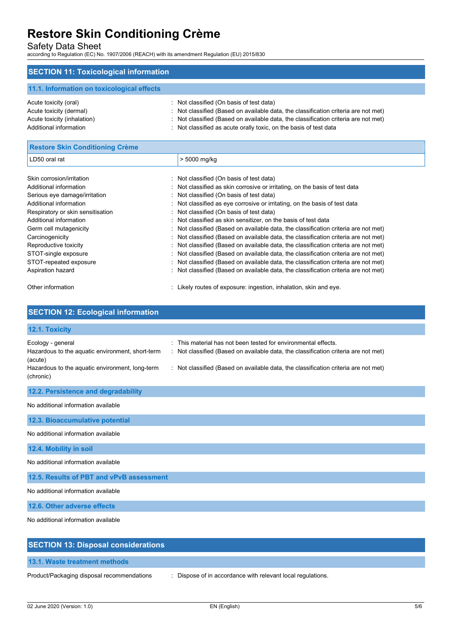Safety Data Sheet according to Regulation (EC) No. 1907/2006 (REACH) with its amendment Regulation (EU) 2015/830

# **SECTION 11: Toxicological information**

| 11.1. Information on toxicological effects |                                                                                     |
|--------------------------------------------|-------------------------------------------------------------------------------------|
| Acute toxicity (oral)                      | : Not classified (On basis of test data)                                            |
| Acute toxicity (dermal)                    | : Not classified (Based on available data, the classification criteria are not met) |
| Acute toxicity (inhalation)                | : Not classified (Based on available data, the classification criteria are not met) |
| Additional information                     | : Not classified as acute orally toxic, on the basis of test data                   |

| <b>Restore Skin Conditioning Crème</b> |    |                                                                                   |
|----------------------------------------|----|-----------------------------------------------------------------------------------|
| LD50 oral rat                          |    | > 5000 mg/kg                                                                      |
| Skin corrosion/irritation              |    | Not classified (On basis of test data)                                            |
| Additional information                 |    | : Not classified as skin corrosive or irritating, on the basis of test data       |
| Serious eye damage/irritation          |    | Not classified (On basis of test data)                                            |
| Additional information                 | t. | Not classified as eye corrosive or irritating, on the basis of test data          |
| Respiratory or skin sensitisation      |    | Not classified (On basis of test data)                                            |
| Additional information                 |    | Not classified as skin sensitizer, on the basis of test data                      |
| Germ cell mutagenicity                 |    | Not classified (Based on available data, the classification criteria are not met) |
| Carcinogenicity                        |    | Not classified (Based on available data, the classification criteria are not met) |
| Reproductive toxicity                  |    | Not classified (Based on available data, the classification criteria are not met) |
| STOT-single exposure                   |    | Not classified (Based on available data, the classification criteria are not met) |
| STOT-repeated exposure                 |    | Not classified (Based on available data, the classification criteria are not met) |
| Aspiration hazard                      |    | Not classified (Based on available data, the classification criteria are not met) |
| Other information                      |    | Likely routes of exposure: ingestion, inhalation, skin and eye.                   |

# **SECTION 12: Ecological information**

| 12.1. Toxicity                                                                                                                                   |                                                                                                                                                                                                                                                  |
|--------------------------------------------------------------------------------------------------------------------------------------------------|--------------------------------------------------------------------------------------------------------------------------------------------------------------------------------------------------------------------------------------------------|
| Ecology - general<br>Hazardous to the aquatic environment, short-term<br>(acute)<br>Hazardous to the aquatic environment, long-term<br>(chronic) | This material has not been tested for environmental effects.<br>۰<br>Not classified (Based on available data, the classification criteria are not met)<br>Not classified (Based on available data, the classification criteria are not met)<br>÷ |
| 12.2. Persistence and degradability                                                                                                              |                                                                                                                                                                                                                                                  |
| No additional information available                                                                                                              |                                                                                                                                                                                                                                                  |
| 12.3. Bioaccumulative potential                                                                                                                  |                                                                                                                                                                                                                                                  |
| No additional information available                                                                                                              |                                                                                                                                                                                                                                                  |
| 12.4. Mobility in soil                                                                                                                           |                                                                                                                                                                                                                                                  |
| No additional information available                                                                                                              |                                                                                                                                                                                                                                                  |
| 12.5. Results of PBT and vPvB assessment                                                                                                         |                                                                                                                                                                                                                                                  |
| No additional information available                                                                                                              |                                                                                                                                                                                                                                                  |
| 12.6. Other adverse effects                                                                                                                      |                                                                                                                                                                                                                                                  |
| No additional information available                                                                                                              |                                                                                                                                                                                                                                                  |
| <b>SECTION 13: Disposal considerations</b>                                                                                                       |                                                                                                                                                                                                                                                  |

Product/Packaging disposal recommendations : Dispose of in accordance with relevant local regulations.